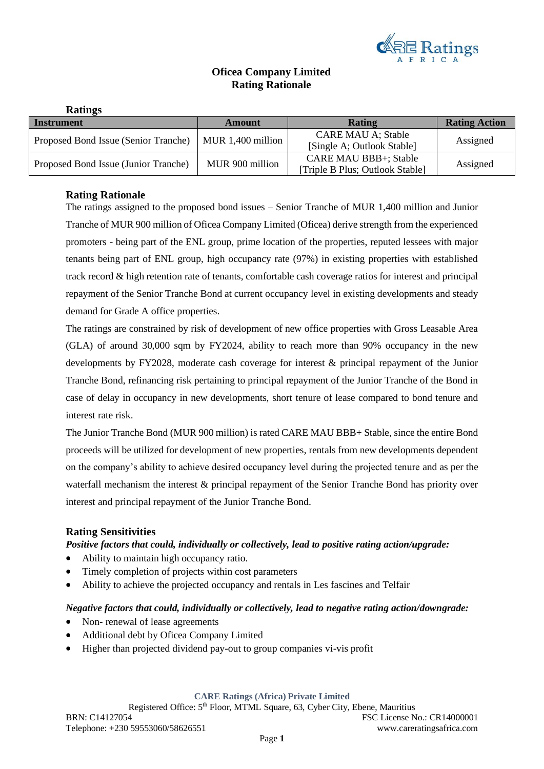

# **Oficea Company Limited Rating Rationale**

| <b>Ratings</b>                       |                   |                                                                 |                      |
|--------------------------------------|-------------------|-----------------------------------------------------------------|----------------------|
| Instrument                           | Amount            | <b>Rating</b>                                                   | <b>Rating Action</b> |
| Proposed Bond Issue (Senior Tranche) | MUR 1,400 million | <b>CARE MAU A; Stable</b><br>[Single A; Outlook Stable]         | Assigned             |
| Proposed Bond Issue (Junior Tranche) | MUR 900 million   | <b>CARE MAU BBB+; Stable</b><br>[Triple B Plus; Outlook Stable] | Assigned             |

# **Rating Rationale**

The ratings assigned to the proposed bond issues – Senior Tranche of MUR 1,400 million and Junior Tranche of MUR 900 million of Oficea Company Limited (Oficea) derive strength from the experienced promoters - being part of the ENL group, prime location of the properties, reputed lessees with major tenants being part of ENL group, high occupancy rate (97%) in existing properties with established track record & high retention rate of tenants, comfortable cash coverage ratios for interest and principal repayment of the Senior Tranche Bond at current occupancy level in existing developments and steady demand for Grade A office properties.

The ratings are constrained by risk of development of new office properties with Gross Leasable Area (GLA) of around 30,000 sqm by FY2024, ability to reach more than 90% occupancy in the new developments by FY2028, moderate cash coverage for interest & principal repayment of the Junior Tranche Bond, refinancing risk pertaining to principal repayment of the Junior Tranche of the Bond in case of delay in occupancy in new developments, short tenure of lease compared to bond tenure and interest rate risk.

The Junior Tranche Bond (MUR 900 million) is rated CARE MAU BBB+ Stable, since the entire Bond proceeds will be utilized for development of new properties, rentals from new developments dependent on the company's ability to achieve desired occupancy level during the projected tenure and as per the waterfall mechanism the interest & principal repayment of the Senior Tranche Bond has priority over interest and principal repayment of the Junior Tranche Bond.

## **Rating Sensitivities**

## *Positive factors that could, individually or collectively, lead to positive rating action/upgrade:*

- Ability to maintain high occupancy ratio.
- Timely completion of projects within cost parameters
- Ability to achieve the projected occupancy and rentals in Les fascines and Telfair

### *Negative factors that could, individually or collectively, lead to negative rating action/downgrade:*

- Non- renewal of lease agreements
- Additional debt by Oficea Company Limited
- Higher than projected dividend pay-out to group companies vi-vis profit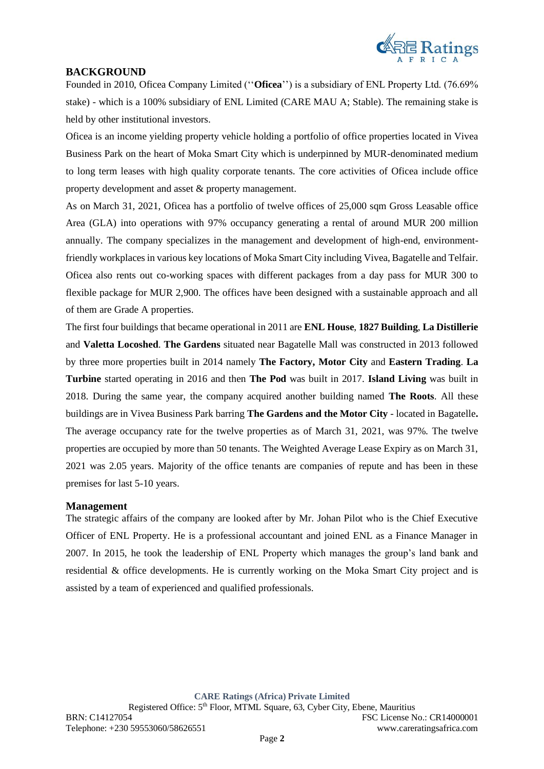

# **BACKGROUND**

Founded in 2010, Oficea Company Limited (''**Oficea**'') is a subsidiary of ENL Property Ltd. (76.69% stake) - which is a 100% subsidiary of ENL Limited (CARE MAU A; Stable). The remaining stake is held by other institutional investors.

Oficea is an income yielding property vehicle holding a portfolio of office properties located in Vivea Business Park on the heart of Moka Smart City which is underpinned by MUR-denominated medium to long term leases with high quality corporate tenants. The core activities of Oficea include office property development and asset & property management.

As on March 31, 2021, Oficea has a portfolio of twelve offices of 25,000 sqm Gross Leasable office Area (GLA) into operations with 97% occupancy generating a rental of around MUR 200 million annually. The company specializes in the management and development of high-end, environmentfriendly workplaces in various key locations of Moka Smart City including Vivea, Bagatelle and Telfair. Oficea also rents out co-working spaces with different packages from a day pass for MUR 300 to flexible package for MUR 2,900. The offices have been designed with a sustainable approach and all of them are Grade A properties.

The first four buildings that became operational in 2011 are **ENL House**, **1827 Building**, **La Distillerie** and **Valetta Locoshed**. **The Gardens** situated near Bagatelle Mall was constructed in 2013 followed by three more properties built in 2014 namely **The Factory, Motor City** and **Eastern Trading**. **La Turbine** started operating in 2016 and then **The Pod** was built in 2017. **Island Living** was built in 2018. During the same year, the company acquired another building named **The Roots**. All these buildings are in Vivea Business Park barring **The Gardens and the Motor City** - located in Bagatelle**.**  The average occupancy rate for the twelve properties as of March 31, 2021, was 97%. The twelve properties are occupied by more than 50 tenants. The Weighted Average Lease Expiry as on March 31, 2021 was 2.05 years. Majority of the office tenants are companies of repute and has been in these premises for last 5-10 years.

## **Management**

The strategic affairs of the company are looked after by Mr. Johan Pilot who is the Chief Executive Officer of ENL Property. He is a professional accountant and joined ENL as a Finance Manager in 2007. In 2015, he took the leadership of ENL Property which manages the group's land bank and residential & office developments. He is currently working on the Moka Smart City project and is assisted by a team of experienced and qualified professionals.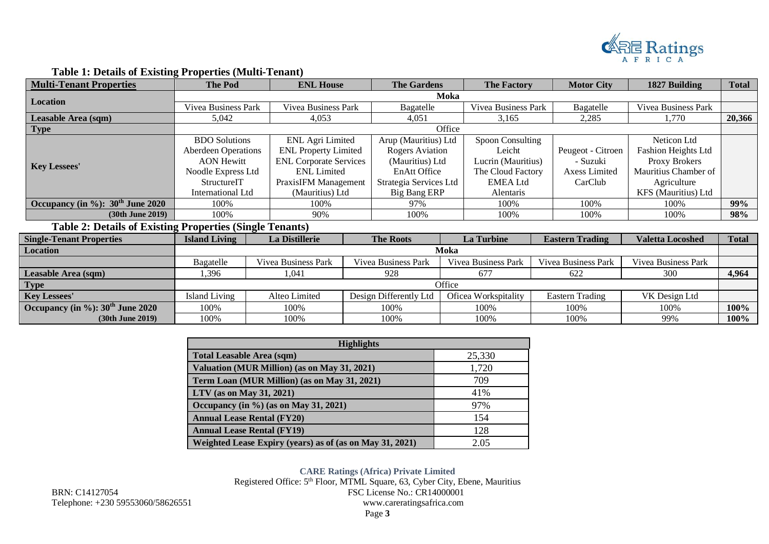

| <b>Multi-Tenant Properties</b>                                  | <b>ENL House</b><br><b>The Pod</b>                |                       | <b>The Gardens</b>            |                        | <b>The Factory</b> |                      | <b>Motor City</b> | 1827 Building              | <b>Total</b>               |              |
|-----------------------------------------------------------------|---------------------------------------------------|-----------------------|-------------------------------|------------------------|--------------------|----------------------|-------------------|----------------------------|----------------------------|--------------|
|                                                                 | Moka                                              |                       |                               |                        |                    |                      |                   |                            |                            |              |
| Location                                                        | <b>Vivea Business Park</b><br>Vivea Business Park |                       |                               | Bagatelle              |                    | Vivea Business Park  |                   | Bagatelle                  | Vivea Business Park        |              |
| Leasable Area (sqm)                                             | 5,042                                             |                       | 4,053                         |                        |                    | 3,165                |                   | 2,285                      | 1,770                      | 20,366       |
| Type                                                            |                                                   |                       |                               |                        | Office             |                      |                   |                            |                            |              |
|                                                                 | <b>BDO</b> Solutions                              |                       | <b>ENL Agri Limited</b>       | Arup (Mauritius) Ltd   |                    | Spoon Consulting     |                   |                            | Neticon Ltd                |              |
|                                                                 | <b>Aberdeen Operations</b>                        |                       | <b>ENL</b> Property Limited   | <b>Rogers Aviation</b> |                    | Leicht               |                   | Peugeot - Citroen          | <b>Fashion Heights Ltd</b> |              |
| <b>Key Lessees'</b>                                             | <b>AON Hewitt</b>                                 |                       | <b>ENL Corporate Services</b> | (Mauritius) Ltd        |                    | Lucrin (Mauritius)   |                   | - Suzuki                   | Proxy Brokers              |              |
|                                                                 | Noodle Express Ltd                                |                       | <b>ENL</b> Limited            | EnAtt Office           |                    | The Cloud Factory    |                   | Axess Limited              | Mauritius Chamber of       |              |
|                                                                 | StructureIT                                       |                       | PraxisIFM Management          | Strategia Services Ltd |                    | <b>EMEA</b> Ltd      |                   | CarClub                    | Agriculture                |              |
|                                                                 | International Ltd                                 |                       | (Mauritius) Ltd               | <b>Big Bang ERP</b>    |                    | Alentaris            |                   |                            | KFS (Mauritius) Ltd        |              |
| Occupancy (in $\%$ ): 30 <sup>th</sup> June 2020                | 100%                                              |                       | 100%                          | 97%                    |                    | 100%                 |                   | 100%                       | 100%                       | 99%          |
| (30th June 2019)                                                | 100%                                              |                       | 90%                           | 100%                   |                    | 100%                 |                   | 100%                       | 100%                       | 98%          |
| <b>Table 2: Details of Existing Properties (Single Tenants)</b> |                                                   |                       |                               |                        |                    |                      |                   |                            |                            |              |
| <b>Single-Tenant Properties</b>                                 | <b>Island Living</b>                              | <b>La Distillerie</b> |                               | <b>The Roots</b>       |                    | <b>La Turbine</b>    |                   | <b>Eastern Trading</b>     | <b>Valetta Locoshed</b>    | <b>Total</b> |
| Location                                                        |                                                   |                       |                               |                        | Moka               |                      |                   |                            |                            |              |
|                                                                 | Bagatelle                                         | Vivea Business Park   |                               | Vivea Business Park    |                    | Vivea Business Park  |                   | <b>Vivea Business Park</b> | Vivea Business Park        |              |
| Leasable Area (sqm)                                             | .396                                              | 1,041                 |                               | 928                    |                    | 677                  |                   | 622                        | 300                        | 4,964        |
| Type                                                            |                                                   |                       |                               |                        | Office             |                      |                   |                            |                            |              |
| <b>Key Lessees'</b>                                             | <b>Island Living</b>                              | Alteo Limited         |                               | Design Differently Ltd |                    | Oficea Workspitality |                   | Eastern Trading            | VK Design Ltd              |              |
| Occupancy (in %): 30 <sup>th</sup> June 2020                    | 100%                                              | 100%                  |                               | 100%                   |                    | 100%                 |                   | 100%                       | 100%                       | 100%         |
| $(30th$ June $2019)$                                            | 100%                                              | 100%                  |                               | 100%                   |                    | 100%                 |                   | 100%                       | 99%                        | 100%         |

# **Table 1: Details of Existing Properties (Multi-Tenant)**

| <b>Highlights</b>                                        |        |  |  |  |
|----------------------------------------------------------|--------|--|--|--|
| <b>Total Leasable Area (sqm)</b>                         | 25,330 |  |  |  |
| Valuation (MUR Million) (as on May 31, 2021)             | 1,720  |  |  |  |
| Term Loan (MUR Million) (as on May 31, 2021)             | 709    |  |  |  |
| LTV (as on May 31, 2021)                                 | 41%    |  |  |  |
| Occupancy (in $\%$ ) (as on May 31, 2021)                | 97%    |  |  |  |
| <b>Annual Lease Rental (FY20)</b>                        | 154    |  |  |  |
| <b>Annual Lease Rental (FY19)</b>                        | 128    |  |  |  |
| Weighted Lease Expiry (years) as of (as on May 31, 2021) | 2.05   |  |  |  |

Telephone: +230 59553060/58626551

**CARE Ratings (Africa) Private Limited** Registered Office: 5<sup>th</sup> Floor, MTML Square, 63, Cyber City, Ebene, Mauritius BRN: C14127054<br>
Telephone: +230 59553060/58626551<br>
Www.careratingsafrica.com<br>
Www.careratingsafrica.com Page **3**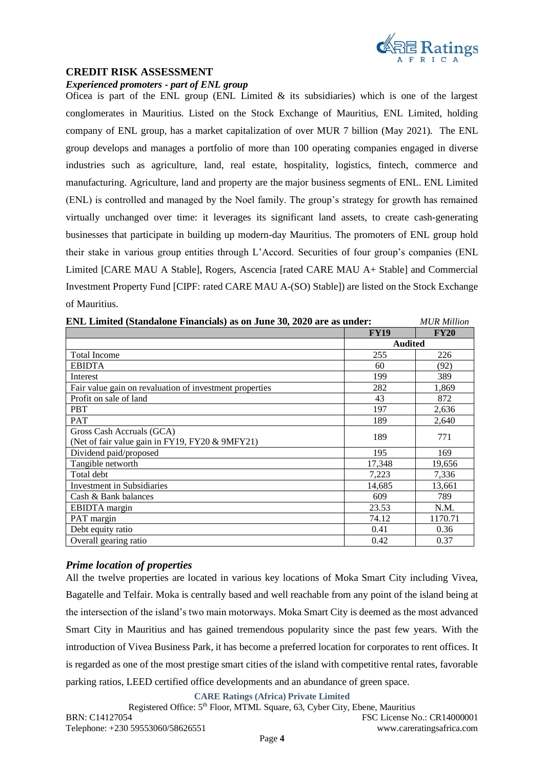

### **CREDIT RISK ASSESSMENT**

*Experienced promoters - part of ENL group*

Oficea is part of the ENL group (ENL Limited  $\&$  its subsidiaries) which is one of the largest conglomerates in Mauritius. Listed on the Stock Exchange of Mauritius, ENL Limited, holding company of ENL group, has a market capitalization of over MUR 7 billion (May 2021). The ENL group develops and manages a portfolio of more than 100 operating companies engaged in diverse industries such as agriculture, land, real estate, hospitality, logistics, fintech, commerce and manufacturing. Agriculture, land and property are the major business segments of ENL. ENL Limited (ENL) is controlled and managed by the Noel family. The group's strategy for growth has remained virtually unchanged over time: it leverages its significant land assets, to create cash-generating businesses that participate in building up modern-day Mauritius. The promoters of ENL group hold their stake in various group entities through L'Accord. Securities of four group's companies (ENL Limited [CARE MAU A Stable], Rogers, Ascencia [rated CARE MAU A+ Stable] and Commercial Investment Property Fund [CIPF: rated CARE MAU A-(SO) Stable]) are listed on the Stock Exchange of Mauritius.

| ENL Limited (Standalone Financials) as on June 30, 2020 are as under: | <b>MUR Million</b> |             |
|-----------------------------------------------------------------------|--------------------|-------------|
|                                                                       | <b>FY19</b>        | <b>FY20</b> |
|                                                                       | <b>Audited</b>     |             |
| <b>Total Income</b>                                                   | 255                | 226         |
| <b>EBIDTA</b>                                                         | 60                 | (92)        |
| Interest                                                              | 199                | 389         |
| Fair value gain on revaluation of investment properties               | 282                | 1,869       |
| Profit on sale of land                                                | 43                 | 872         |
| <b>PBT</b>                                                            | 197                | 2,636       |
| <b>PAT</b>                                                            | 189                | 2,640       |
| Gross Cash Accruals (GCA)                                             | 189                | 771         |
| (Net of fair value gain in FY19, FY20 & 9MFY21)                       |                    |             |
| Dividend paid/proposed                                                | 195                | 169         |
| Tangible networth                                                     | 17,348             | 19,656      |
| Total debt                                                            | 7,223              | 7,336       |
| <b>Investment in Subsidiaries</b>                                     | 14,685             | 13,661      |
| Cash & Bank balances                                                  | 609                | 789         |
| <b>EBIDTA</b> margin                                                  | 23.53              | N.M.        |
| PAT margin                                                            | 74.12              | 1170.71     |
| Debt equity ratio                                                     | 0.41               | 0.36        |
| Overall gearing ratio                                                 | 0.42               | 0.37        |

### *Prime location of properties*

All the twelve properties are located in various key locations of Moka Smart City including Vivea, Bagatelle and Telfair. Moka is centrally based and well reachable from any point of the island being at the intersection of the island's two main motorways. Moka Smart City is deemed as the most advanced Smart City in Mauritius and has gained tremendous popularity since the past few years. With the introduction of Vivea Business Park, it has become a preferred location for corporates to rent offices. It is regarded as one of the most prestige smart cities of the island with competitive rental rates, favorable parking ratios, LEED certified office developments and an abundance of green space.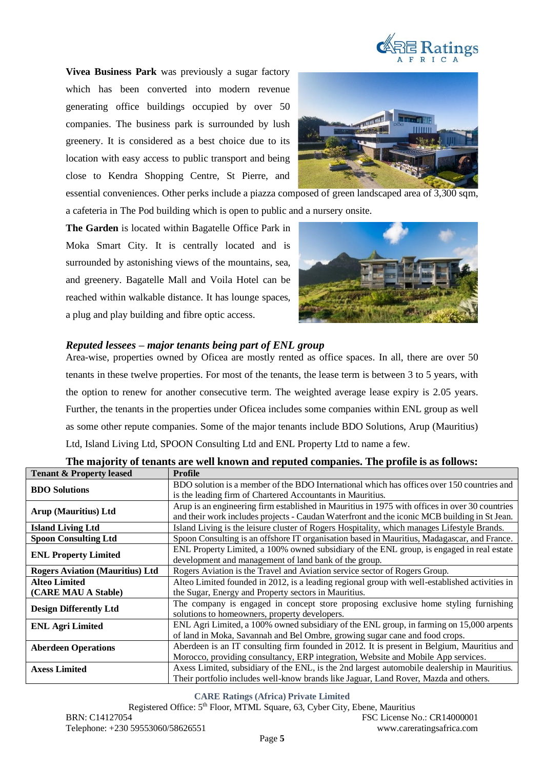

**Vivea Business Park** was previously a sugar factory which has been converted into modern revenue generating office buildings occupied by over 50 companies. The business park is surrounded by lush greenery. It is considered as a best choice due to its location with easy access to public transport and being close to Kendra Shopping Centre, St Pierre, and



essential conveniences. Other perks include a piazza composed of green landscaped area of 3,300 sqm, a cafeteria in The Pod building which is open to public and a nursery onsite.

**The Garden** is located within Bagatelle Office Park in Moka Smart City. It is centrally located and is surrounded by astonishing views of the mountains, sea, and greenery. Bagatelle Mall and Voila Hotel can be reached within walkable distance. It has lounge spaces, a plug and play building and fibre optic access.



# *Reputed lessees – major tenants being part of ENL group*

Area-wise, properties owned by Oficea are mostly rented as office spaces. In all, there are over 50 tenants in these twelve properties. For most of the tenants, the lease term is between 3 to 5 years, with the option to renew for another consecutive term. The weighted average lease expiry is 2.05 years. Further, the tenants in the properties under Oficea includes some companies within ENL group as well as some other repute companies. Some of the major tenants include BDO Solutions, Arup (Mauritius) Ltd, Island Living Ltd, SPOON Consulting Ltd and ENL Property Ltd to name a few.

| <b>Tenant &amp; Property leased</b>                                                                                  | Profile                                                                                        |  |  |
|----------------------------------------------------------------------------------------------------------------------|------------------------------------------------------------------------------------------------|--|--|
| <b>BDO Solutions</b>                                                                                                 | BDO solution is a member of the BDO International which has offices over 150 countries and     |  |  |
|                                                                                                                      | is the leading firm of Chartered Accountants in Mauritius.                                     |  |  |
| Arup (Mauritius) Ltd                                                                                                 | Arup is an engineering firm established in Mauritius in 1975 with offices in over 30 countries |  |  |
|                                                                                                                      | and their work includes projects - Caudan Waterfront and the iconic MCB building in St Jean.   |  |  |
| <b>Island Living Ltd</b>                                                                                             | Island Living is the leisure cluster of Rogers Hospitality, which manages Lifestyle Brands.    |  |  |
| <b>Spoon Consulting Ltd</b>                                                                                          | Spoon Consulting is an offshore IT organisation based in Mauritius, Madagascar, and France.    |  |  |
| <b>ENL Property Limited</b>                                                                                          | ENL Property Limited, a 100% owned subsidiary of the ENL group, is engaged in real estate      |  |  |
|                                                                                                                      | development and management of land bank of the group.                                          |  |  |
| <b>Rogers Aviation (Mauritius) Ltd</b>                                                                               | Rogers Aviation is the Travel and Aviation service sector of Rogers Group.                     |  |  |
| <b>Alteo Limited</b>                                                                                                 | Alteo Limited founded in 2012, is a leading regional group with well-established activities in |  |  |
| (CARE MAU A Stable)                                                                                                  | the Sugar, Energy and Property sectors in Mauritius.                                           |  |  |
| The company is engaged in concept store proposing exclusive home styling furnishing<br><b>Design Differently Ltd</b> |                                                                                                |  |  |
|                                                                                                                      | solutions to homeowners, property developers.                                                  |  |  |
| <b>ENL Agri Limited</b>                                                                                              | ENL Agri Limited, a 100% owned subsidiary of the ENL group, in farming on 15,000 arpents       |  |  |
|                                                                                                                      | of land in Moka, Savannah and Bel Ombre, growing sugar cane and food crops.                    |  |  |
| <b>Aberdeen Operations</b>                                                                                           | Aberdeen is an IT consulting firm founded in 2012. It is present in Belgium, Mauritius and     |  |  |
|                                                                                                                      | Morocco, providing consultancy, ERP integration, Website and Mobile App services.              |  |  |
| <b>Axess Limited</b>                                                                                                 | Axess Limited, subsidiary of the ENL, is the 2nd largest automobile dealership in Mauritius.   |  |  |
|                                                                                                                      | Their portfolio includes well-know brands like Jaguar, Land Rover, Mazda and others.           |  |  |

**The majority of tenants are well known and reputed companies. The profile is as follows:**

**CARE Ratings (Africa) Private Limited**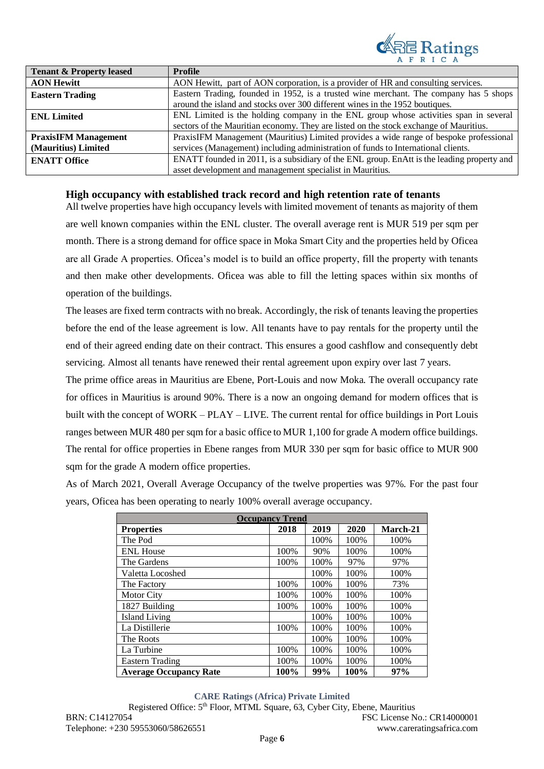

| <b>Tenant &amp; Property leased</b> | <b>Profile</b>                                                                             |  |  |  |
|-------------------------------------|--------------------------------------------------------------------------------------------|--|--|--|
| <b>AON Hewitt</b>                   | AON Hewitt, part of AON corporation, is a provider of HR and consulting services.          |  |  |  |
| <b>Eastern Trading</b>              | Eastern Trading, founded in 1952, is a trusted wine merchant. The company has 5 shops      |  |  |  |
|                                     | around the island and stocks over 300 different wines in the 1952 boutiques.               |  |  |  |
| <b>ENL Limited</b>                  | ENL Limited is the holding company in the ENL group whose activities span in several       |  |  |  |
|                                     | sectors of the Mauritian economy. They are listed on the stock exchange of Mauritius.      |  |  |  |
| <b>PraxisIFM Management</b>         | PraxisIFM Management (Mauritius) Limited provides a wide range of bespoke professional     |  |  |  |
| (Mauritius) Limited                 | services (Management) including administration of funds to International clients.          |  |  |  |
| <b>ENATT Office</b>                 | ENATT founded in 2011, is a subsidiary of the ENL group. EnAtt is the leading property and |  |  |  |
|                                     | asset development and management specialist in Mauritius.                                  |  |  |  |

### **High occupancy with established track record and high retention rate of tenants**

All twelve properties have high occupancy levels with limited movement of tenants as majority of them are well known companies within the ENL cluster. The overall average rent is MUR 519 per sqm per month. There is a strong demand for office space in Moka Smart City and the properties held by Oficea are all Grade A properties. Oficea's model is to build an office property, fill the property with tenants and then make other developments. Oficea was able to fill the letting spaces within six months of operation of the buildings.

The leases are fixed term contracts with no break. Accordingly, the risk of tenants leaving the properties before the end of the lease agreement is low. All tenants have to pay rentals for the property until the end of their agreed ending date on their contract. This ensures a good cashflow and consequently debt servicing. Almost all tenants have renewed their rental agreement upon expiry over last 7 years.

The prime office areas in Mauritius are Ebene, Port-Louis and now Moka. The overall occupancy rate for offices in Mauritius is around 90%. There is a now an ongoing demand for modern offices that is built with the concept of WORK – PLAY – LIVE. The current rental for office buildings in Port Louis ranges between MUR 480 per sqm for a basic office to MUR 1,100 for grade A modern office buildings. The rental for office properties in Ebene ranges from MUR 330 per sqm for basic office to MUR 900 sqm for the grade A modern office properties.

As of March 2021, Overall Average Occupancy of the twelve properties was 97%. For the past four years, Oficea has been operating to nearly 100% overall average occupancy.

| <b>Occupancy Trend</b>        |      |      |      |          |  |  |
|-------------------------------|------|------|------|----------|--|--|
| <b>Properties</b>             | 2018 | 2019 | 2020 | March-21 |  |  |
| The Pod                       |      | 100% | 100% | 100%     |  |  |
| <b>ENL House</b>              | 100% | 90%  | 100% | 100%     |  |  |
| The Gardens                   | 100% | 100% | 97%  | 97%      |  |  |
| Valetta Locoshed              |      | 100% | 100% | 100%     |  |  |
| The Factory                   | 100% | 100% | 100% | 73%      |  |  |
| <b>Motor City</b>             | 100% | 100% | 100% | 100%     |  |  |
| 1827 Building                 | 100% | 100% | 100% | 100%     |  |  |
| <b>Island Living</b>          |      | 100% | 100% | 100%     |  |  |
| La Distillerie                | 100% | 100% | 100% | 100%     |  |  |
| The Roots                     |      | 100% | 100% | 100%     |  |  |
| La Turbine                    | 100% | 100% | 100% | 100%     |  |  |
| <b>Eastern Trading</b>        | 100% | 100% | 100% | 100%     |  |  |
| <b>Average Occupancy Rate</b> | 100% | 99%  | 100% | 97%      |  |  |

#### **CARE Ratings (Africa) Private Limited**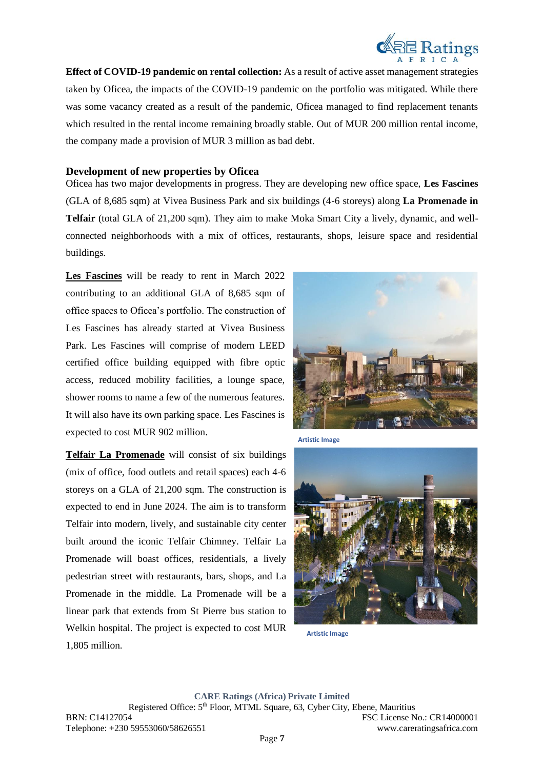

**Effect of COVID-19 pandemic on rental collection:** As a result of active asset management strategies taken by Oficea, the impacts of the COVID-19 pandemic on the portfolio was mitigated. While there was some vacancy created as a result of the pandemic, Oficea managed to find replacement tenants which resulted in the rental income remaining broadly stable. Out of MUR 200 million rental income, the company made a provision of MUR 3 million as bad debt.

### **Development of new properties by Oficea**

Oficea has two major developments in progress. They are developing new office space, **Les Fascines** (GLA of 8,685 sqm) at Vivea Business Park and six buildings (4-6 storeys) along **La Promenade in Telfair** (total GLA of 21,200 sqm). They aim to make Moka Smart City a lively, dynamic, and wellconnected neighborhoods with a mix of offices, restaurants, shops, leisure space and residential buildings.

**Les Fascines** will be ready to rent in March 2022 contributing to an additional GLA of 8,685 sqm of office spaces to Oficea's portfolio. The construction of Les Fascines has already started at Vivea Business Park. Les Fascines will comprise of modern LEED certified office building equipped with fibre optic access, reduced mobility facilities, a lounge space, shower rooms to name a few of the numerous features. It will also have its own parking space. Les Fascines is expected to cost MUR 902 million.

**Telfair La Promenade** will consist of six buildings (mix of office, food outlets and retail spaces) each 4-6 storeys on a GLA of 21,200 sqm. The construction is expected to end in June 2024. The aim is to transform Telfair into modern, lively, and sustainable city center built around the iconic Telfair Chimney. Telfair La Promenade will boast offices, residentials, a lively pedestrian street with restaurants, bars, shops, and La Promenade in the middle. La Promenade will be a linear park that extends from St Pierre bus station to Welkin hospital. The project is expected to cost MUR 1,805 million.



**Artistic Image**



**Artistic Image**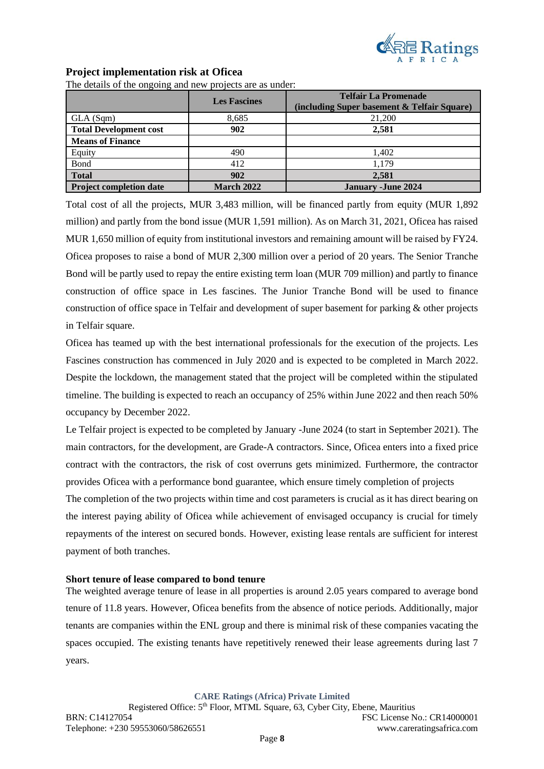

### **Project implementation risk at Oficea**

The details of the ongoing and new projects are as under:

|                                | <b>Les Fascines</b> | <b>Telfair La Promenade</b><br>(including Super basement & Telfair Square) |
|--------------------------------|---------------------|----------------------------------------------------------------------------|
| GLA(Sqm)                       | 8,685               | 21,200                                                                     |
| <b>Total Development cost</b>  | 902                 | 2,581                                                                      |
| <b>Means of Finance</b>        |                     |                                                                            |
| Equity                         | 490                 | 1,402                                                                      |
| Bond                           | 412                 | 1,179                                                                      |
| <b>Total</b>                   | 902                 | 2,581                                                                      |
| <b>Project completion date</b> | <b>March 2022</b>   | <b>January - June 2024</b>                                                 |

Total cost of all the projects, MUR 3,483 million, will be financed partly from equity (MUR 1,892 million) and partly from the bond issue (MUR 1,591 million). As on March 31, 2021, Oficea has raised MUR 1,650 million of equity from institutional investors and remaining amount will be raised by FY24. Oficea proposes to raise a bond of MUR 2,300 million over a period of 20 years. The Senior Tranche Bond will be partly used to repay the entire existing term loan (MUR 709 million) and partly to finance construction of office space in Les fascines. The Junior Tranche Bond will be used to finance construction of office space in Telfair and development of super basement for parking & other projects in Telfair square.

Oficea has teamed up with the best international professionals for the execution of the projects. Les Fascines construction has commenced in July 2020 and is expected to be completed in March 2022. Despite the lockdown, the management stated that the project will be completed within the stipulated timeline. The building is expected to reach an occupancy of 25% within June 2022 and then reach 50% occupancy by December 2022.

Le Telfair project is expected to be completed by January -June 2024 (to start in September 2021). The main contractors, for the development, are Grade-A contractors. Since, Oficea enters into a fixed price contract with the contractors, the risk of cost overruns gets minimized. Furthermore, the contractor provides Oficea with a performance bond guarantee, which ensure timely completion of projects

The completion of the two projects within time and cost parameters is crucial as it has direct bearing on the interest paying ability of Oficea while achievement of envisaged occupancy is crucial for timely repayments of the interest on secured bonds. However, existing lease rentals are sufficient for interest payment of both tranches.

### **Short tenure of lease compared to bond tenure**

The weighted average tenure of lease in all properties is around 2.05 years compared to average bond tenure of 11.8 years. However, Oficea benefits from the absence of notice periods. Additionally, major tenants are companies within the ENL group and there is minimal risk of these companies vacating the spaces occupied. The existing tenants have repetitively renewed their lease agreements during last 7 years.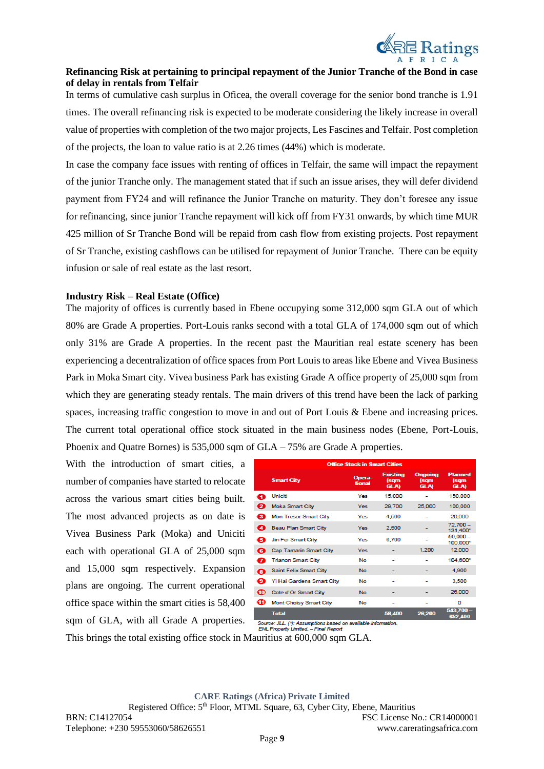

### **Refinancing Risk at pertaining to principal repayment of the Junior Tranche of the Bond in case of delay in rentals from Telfair**

In terms of cumulative cash surplus in Oficea, the overall coverage for the senior bond tranche is 1.91 times. The overall refinancing risk is expected to be moderate considering the likely increase in overall value of properties with completion of the two major projects, Les Fascines and Telfair. Post completion of the projects, the loan to value ratio is at 2.26 times (44%) which is moderate.

In case the company face issues with renting of offices in Telfair, the same will impact the repayment of the junior Tranche only. The management stated that if such an issue arises, they will defer dividend payment from FY24 and will refinance the Junior Tranche on maturity. They don't foresee any issue for refinancing, since junior Tranche repayment will kick off from FY31 onwards, by which time MUR 425 million of Sr Tranche Bond will be repaid from cash flow from existing projects. Post repayment of Sr Tranche, existing cashflows can be utilised for repayment of Junior Tranche. There can be equity infusion or sale of real estate as the last resort.

### **Industry Risk – Real Estate (Office)**

The majority of offices is currently based in Ebene occupying some 312,000 sqm GLA out of which 80% are Grade A properties. Port-Louis ranks second with a total GLA of 174,000 sqm out of which only 31% are Grade A properties. In the recent past the Mauritian real estate scenery has been experiencing a decentralization of office spaces from Port Louis to areas like Ebene and Vivea Business Park in Moka Smart city. Vivea business Park has existing Grade A office property of 25,000 sqm from which they are generating steady rentals. The main drivers of this trend have been the lack of parking spaces, increasing traffic congestion to move in and out of Port Louis & Ebene and increasing prices. The current total operational office stock situated in the main business nodes (Ebene, Port-Louis, Phoenix and Quatre Bornes) is 535,000 sqm of GLA – 75% are Grade A properties.

With the introduction of smart cities, a number of companies have started to relocate across the various smart cities being built. The most advanced projects as on date is Vivea Business Park (Moka) and Uniciti each with operational GLA of 25,000 sqm and 15,000 sqm respectively. Expansion plans are ongoing. The current operational office space within the smart cities is 58,400 sqm of GLA, with all Grade A properties.

| <b>Office Stock in Smart Cities</b> |                           |                  |                                        |                                |                                |  |
|-------------------------------------|---------------------------|------------------|----------------------------------------|--------------------------------|--------------------------------|--|
|                                     | <b>Smart City</b>         | Opera-<br>tional | <b>Existing</b><br>(sqm<br><b>GLA)</b> | Ongoing<br>(sam<br><b>GLA)</b> | <b>Planned</b><br>(sqm<br>GLA) |  |
| П                                   | Uniciti                   | Yes              | 15,000                                 |                                | 150,000                        |  |
| ø                                   | <b>Moka Smart City</b>    | Yes              | 29,700                                 | 25,000                         | 100,000                        |  |
| ❸                                   | Mon Tresor Smart City     | Yes              | 4,500                                  |                                | 20,000                         |  |
| ☎                                   | Beau Plan Smart City      | Yes              | 2,500                                  |                                | $72.700 -$<br>131,400*         |  |
| ø                                   | Jin Fei Smart City        | Yes              | 6.700                                  | ۰                              | $50,000 -$<br>100,000*         |  |
| G                                   | Cap Tamarin Smart City    | Yes              |                                        | 1,200                          | 12,000                         |  |
| П                                   | <b>Trianon Smart City</b> | No               |                                        |                                | 104,600*                       |  |
| О                                   | Saint Felix Smart City    | No               |                                        |                                | 4,900                          |  |
| ⊕                                   | Yi Hai Gardens Smart City | No               |                                        |                                | 3,500                          |  |
| ⊕                                   | Cote d'Or Smart City      | <b>No</b>        |                                        |                                | 26,000                         |  |
| ⊕                                   | Mont Choisy Smart City    | No               |                                        | ۰                              | ٥                              |  |
|                                     | <b>Total</b>              | $\cdots$         | 58,400                                 | 26,200                         | 543,700<br>652,400             |  |

Source: JLL. (\*): Assumptions based on avail.<br>ENL Property Limited. — Final Report

This brings the total existing office stock in Mauritius at 600,000 sqm GLA.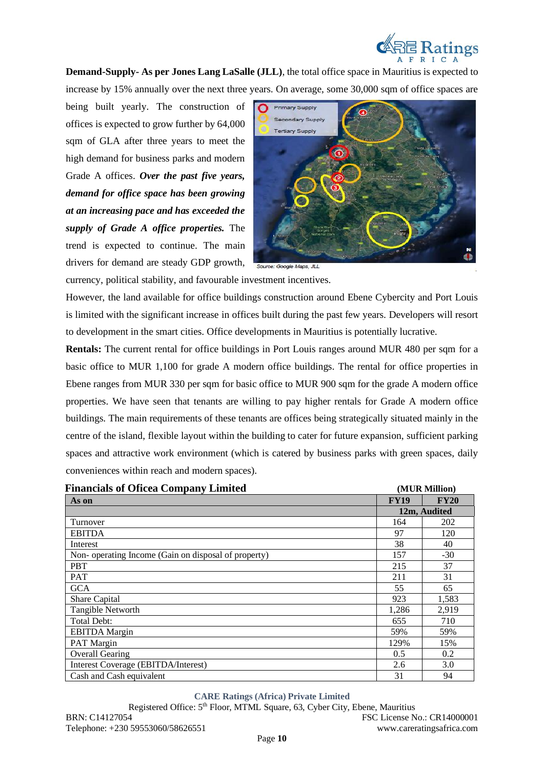

**Demand-Supply- As per Jones Lang LaSalle (JLL)**, the total office space in Mauritius is expected to increase by 15% annually over the next three years. On average, some 30,000 sqm of office spaces are

being built yearly. The construction of offices is expected to grow further by 64,000 sqm of GLA after three years to meet the high demand for business parks and modern Grade A offices. *Over the past five years, demand for office space has been growing at an increasing pace and has exceeded the supply of Grade A office properties.* The trend is expected to continue. The main drivers for demand are steady GDP growth,



currency, political stability, and favourable investment incentives.

However, the land available for office buildings construction around Ebene Cybercity and Port Louis is limited with the significant increase in offices built during the past few years. Developers will resort to development in the smart cities. Office developments in Mauritius is potentially lucrative.

**Rentals:** The current rental for office buildings in Port Louis ranges around MUR 480 per sqm for a basic office to MUR 1,100 for grade A modern office buildings. The rental for office properties in Ebene ranges from MUR 330 per sqm for basic office to MUR 900 sqm for the grade A modern office properties. We have seen that tenants are willing to pay higher rentals for Grade A modern office buildings. The main requirements of these tenants are offices being strategically situated mainly in the centre of the island, flexible layout within the building to cater for future expansion, sufficient parking spaces and attractive work environment (which is catered by business parks with green spaces, daily conveniences within reach and modern spaces).

| <b>Financials of Oficea Company Limited</b>         |             | (MUR Million) |  |  |
|-----------------------------------------------------|-------------|---------------|--|--|
| As on                                               | <b>FY19</b> | <b>FY20</b>   |  |  |
|                                                     |             | 12m, Audited  |  |  |
| Turnover                                            | 164         | 202           |  |  |
| <b>EBITDA</b>                                       | 97          | 120           |  |  |
| Interest                                            | 38          | 40            |  |  |
| Non-operating Income (Gain on disposal of property) | 157         | $-30$         |  |  |
| <b>PBT</b>                                          | 215         | 37            |  |  |
| <b>PAT</b>                                          | 211         | 31            |  |  |
| <b>GCA</b>                                          | 55          | 65            |  |  |
| Share Capital                                       | 923         | 1,583         |  |  |
| Tangible Networth                                   | 1,286       | 2,919         |  |  |
| Total Debt:                                         | 655         | 710           |  |  |
| <b>EBITDA</b> Margin                                | 59%         | 59%           |  |  |
| PAT Margin                                          | 129%        | 15%           |  |  |
| <b>Overall Gearing</b>                              | 0.5         | 0.2           |  |  |
| Interest Coverage (EBITDA/Interest)                 | 2.6         | 3.0           |  |  |
| Cash and Cash equivalent                            | 31          | 94            |  |  |

#### **CARE Ratings (Africa) Private Limited**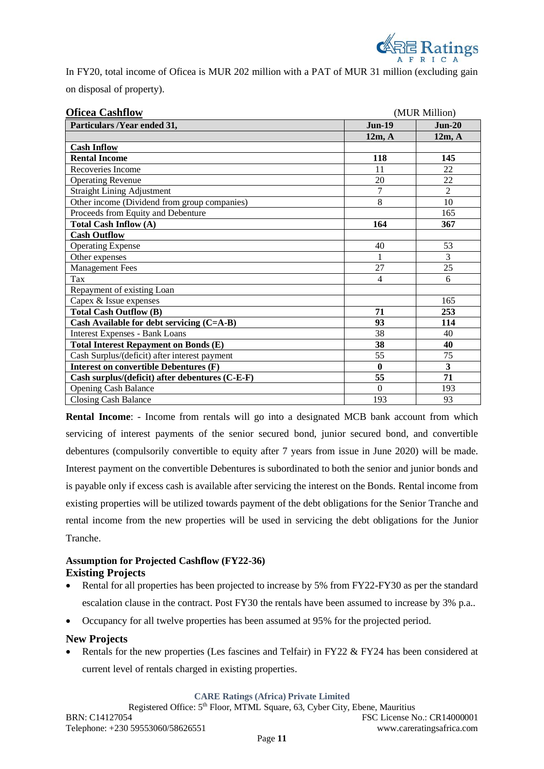

In FY20, total income of Oficea is MUR 202 million with a PAT of MUR 31 million (excluding gain on disposal of property).

| <b>Oficea Cashflow</b>                          |                | (MUR Million)  |  |  |  |
|-------------------------------------------------|----------------|----------------|--|--|--|
| Particulars /Year ended 31,                     | <b>Jun-19</b>  | $Jun-20$       |  |  |  |
|                                                 | 12m, A         | 12m. A         |  |  |  |
| <b>Cash Inflow</b>                              |                |                |  |  |  |
| <b>Rental Income</b>                            | 118            | 145            |  |  |  |
| Recoveries Income                               | 11             | 22             |  |  |  |
| <b>Operating Revenue</b>                        | 20             | 22             |  |  |  |
| <b>Straight Lining Adjustment</b>               | 7              | $\overline{2}$ |  |  |  |
| Other income (Dividend from group companies)    | 8              | 10             |  |  |  |
| Proceeds from Equity and Debenture              |                | 165            |  |  |  |
| <b>Total Cash Inflow (A)</b>                    | 164            | 367            |  |  |  |
| <b>Cash Outflow</b>                             |                |                |  |  |  |
| <b>Operating Expense</b>                        | 40             | 53             |  |  |  |
| Other expenses                                  | 1              | 3              |  |  |  |
| <b>Management Fees</b>                          | 27             | 25             |  |  |  |
| Tax                                             | $\overline{4}$ | 6              |  |  |  |
| Repayment of existing Loan                      |                |                |  |  |  |
| Capex & Issue expenses                          |                | 165            |  |  |  |
| <b>Total Cash Outflow (B)</b>                   | 71             | 253            |  |  |  |
| Cash Available for debt servicing (C=A-B)       | 93             | 114            |  |  |  |
| <b>Interest Expenses - Bank Loans</b>           | 38             | 40             |  |  |  |
| <b>Total Interest Repayment on Bonds (E)</b>    | 38             | 40             |  |  |  |
| Cash Surplus/(deficit) after interest payment   | 55             | 75             |  |  |  |
| Interest on convertible Debentures (F)          | $\bf{0}$       | 3              |  |  |  |
| Cash surplus/(deficit) after debentures (C-E-F) | 55             | 71             |  |  |  |
| <b>Opening Cash Balance</b>                     | $\Omega$       | 193            |  |  |  |
| <b>Closing Cash Balance</b>                     | 193            | 93             |  |  |  |

**Rental Income**: - Income from rentals will go into a designated MCB bank account from which servicing of interest payments of the senior secured bond, junior secured bond, and convertible debentures (compulsorily convertible to equity after 7 years from issue in June 2020) will be made. Interest payment on the convertible Debentures is subordinated to both the senior and junior bonds and is payable only if excess cash is available after servicing the interest on the Bonds. Rental income from existing properties will be utilized towards payment of the debt obligations for the Senior Tranche and rental income from the new properties will be used in servicing the debt obligations for the Junior Tranche.

## **Assumption for Projected Cashflow (FY22-36) Existing Projects**

- Rental for all properties has been projected to increase by 5% from FY22-FY30 as per the standard escalation clause in the contract. Post FY30 the rentals have been assumed to increase by 3% p.a..
- Occupancy for all twelve properties has been assumed at 95% for the projected period.

## **New Projects**

• Rentals for the new properties (Les fascines and Telfair) in FY22 & FY24 has been considered at current level of rentals charged in existing properties.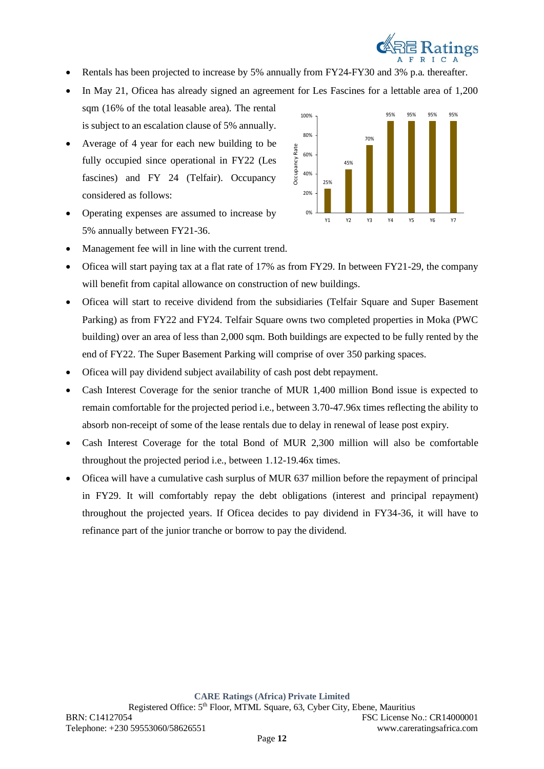

- Rentals has been projected to increase by 5% annually from FY24-FY30 and 3% p.a. thereafter.
- In May 21, Oficea has already signed an agreement for Les Fascines for a lettable area of 1,200 sqm (16% of the total leasable area). The rental is subject to an escalation clause of 5% annually.
- Average of 4 year for each new building to be fully occupied since operational in FY22 (Les fascines) and FY 24 (Telfair). Occupancy considered as follows:
- Operating expenses are assumed to increase by 5% annually between FY21-36.



- Management fee will in line with the current trend.
- Oficea will start paying tax at a flat rate of 17% as from FY29. In between FY21-29, the company will benefit from capital allowance on construction of new buildings.
- Oficea will start to receive dividend from the subsidiaries (Telfair Square and Super Basement Parking) as from FY22 and FY24. Telfair Square owns two completed properties in Moka (PWC building) over an area of less than 2,000 sqm. Both buildings are expected to be fully rented by the end of FY22. The Super Basement Parking will comprise of over 350 parking spaces.
- Oficea will pay dividend subject availability of cash post debt repayment.
- Cash Interest Coverage for the senior tranche of MUR 1,400 million Bond issue is expected to remain comfortable for the projected period i.e., between 3.70-47.96x times reflecting the ability to absorb non-receipt of some of the lease rentals due to delay in renewal of lease post expiry.
- Cash Interest Coverage for the total Bond of MUR 2,300 million will also be comfortable throughout the projected period i.e., between 1.12-19.46x times.
- Oficea will have a cumulative cash surplus of MUR 637 million before the repayment of principal in FY29. It will comfortably repay the debt obligations (interest and principal repayment) throughout the projected years. If Oficea decides to pay dividend in FY34-36, it will have to refinance part of the junior tranche or borrow to pay the dividend.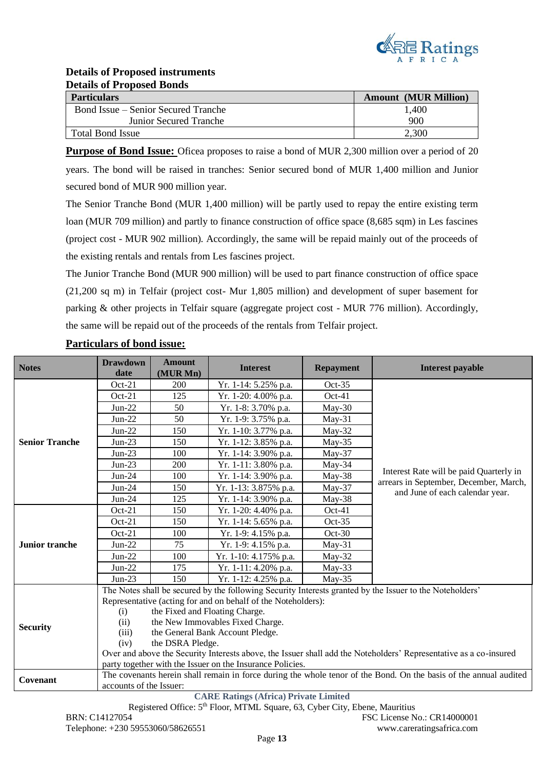

# **Details of Proposed instruments Details of Proposed Bonds**

| <b>Particulars</b>                  | <b>Amount (MUR Million)</b> |
|-------------------------------------|-----------------------------|
| Bond Issue – Senior Secured Tranche | 1,400                       |
| <b>Junior Secured Tranche</b>       | 900                         |
| <b>Total Bond Issue</b>             | 2,300                       |

**Purpose of Bond Issue:** Oficea proposes to raise a bond of MUR 2,300 million over a period of 20 years. The bond will be raised in tranches: Senior secured bond of MUR 1,400 million and Junior secured bond of MUR 900 million year.

The Senior Tranche Bond (MUR 1,400 million) will be partly used to repay the entire existing term loan (MUR 709 million) and partly to finance construction of office space (8,685 sqm) in Les fascines (project cost - MUR 902 million). Accordingly, the same will be repaid mainly out of the proceeds of the existing rentals and rentals from Les fascines project.

The Junior Tranche Bond (MUR 900 million) will be used to part finance construction of office space (21,200 sq m) in Telfair (project cost- Mur 1,805 million) and development of super basement for parking & other projects in Telfair square (aggregate project cost - MUR 776 million). Accordingly, the same will be repaid out of the proceeds of the rentals from Telfair project.

| <b>Notes</b>                                 | <b>Drawdown</b><br>date                                                                                           | <b>Amount</b><br>(MUR Mn) | <b>Interest</b>       | <b>Repayment</b> | <b>Interest payable</b>                                                                                              |  |
|----------------------------------------------|-------------------------------------------------------------------------------------------------------------------|---------------------------|-----------------------|------------------|----------------------------------------------------------------------------------------------------------------------|--|
| <b>Senior Tranche</b>                        | Oct-21                                                                                                            | 200                       | Yr. 1-14: 5.25% p.a.  | $Oct-35$         | Interest Rate will be paid Quarterly in<br>arrears in September, December, March,<br>and June of each calendar year. |  |
|                                              | $Oct-21$                                                                                                          | 125                       | Yr. 1-20: 4.00% p.a.  | $Oct-41$         |                                                                                                                      |  |
|                                              | $Jun-22$                                                                                                          | 50                        | Yr. 1-8: 3.70% p.a.   | May-30           |                                                                                                                      |  |
|                                              | $Jun-22$                                                                                                          | 50                        | Yr. 1-9: 3.75% p.a.   | $May-31$         |                                                                                                                      |  |
|                                              | $Jun-22$                                                                                                          | 150                       | Yr. 1-10: 3.77% p.a.  | May-32           |                                                                                                                      |  |
|                                              | $Jun-23$                                                                                                          | 150                       | Yr. 1-12: 3.85% p.a.  | $May-35$         |                                                                                                                      |  |
|                                              | $Jun-23$                                                                                                          | 100                       | Yr. 1-14: 3.90% p.a.  | May-37           |                                                                                                                      |  |
|                                              | $Jun-23$                                                                                                          | 200                       | Yr. 1-11: 3.80% p.a.  | May-34           |                                                                                                                      |  |
|                                              | $Jun-24$                                                                                                          | 100                       | Yr. 1-14: 3.90% p.a.  | May-38           |                                                                                                                      |  |
|                                              | $Jun-24$                                                                                                          | 150                       | Yr. 1-13: 3.875% p.a. | $May-37$         |                                                                                                                      |  |
|                                              | $Jun-24$                                                                                                          | 125                       | Yr. 1-14: 3.90% p.a.  | May-38           |                                                                                                                      |  |
| Junior tranche                               | Oct-21                                                                                                            | 150                       | Yr. 1-20: 4.40% p.a.  | Oct-41           |                                                                                                                      |  |
|                                              | $Oct-21$                                                                                                          | 150                       | Yr. 1-14: 5.65% p.a.  | $Oct-35$         |                                                                                                                      |  |
|                                              | $Oct-21$                                                                                                          | 100                       | Yr. 1-9: 4.15% p.a.   | $Oct-30$         |                                                                                                                      |  |
|                                              | $Jun-22$                                                                                                          | 75                        | Yr. 1-9: 4.15% p.a.   | $May-31$         |                                                                                                                      |  |
|                                              | $Jun-22$                                                                                                          | 100                       | Yr. 1-10: 4.175% p.a. | $May-32$         |                                                                                                                      |  |
|                                              | $Jun-22$                                                                                                          | 175                       | Yr. 1-11: 4.20% p.a.  | $May-33$         |                                                                                                                      |  |
|                                              | $Jun-23$                                                                                                          | 150                       | Yr. 1-12: 4.25% p.a.  | $May-35$         |                                                                                                                      |  |
| <b>Security</b>                              | The Notes shall be secured by the following Security Interests granted by the Issuer to the Noteholders'          |                           |                       |                  |                                                                                                                      |  |
|                                              | Representative (acting for and on behalf of the Noteholders):                                                     |                           |                       |                  |                                                                                                                      |  |
|                                              | the Fixed and Floating Charge.<br>(i)                                                                             |                           |                       |                  |                                                                                                                      |  |
|                                              | the New Immovables Fixed Charge.<br>(ii)                                                                          |                           |                       |                  |                                                                                                                      |  |
|                                              | the General Bank Account Pledge.<br>(iii)                                                                         |                           |                       |                  |                                                                                                                      |  |
|                                              | the DSRA Pledge.<br>(iv)                                                                                          |                           |                       |                  |                                                                                                                      |  |
|                                              | Over and above the Security Interests above, the Issuer shall add the Noteholders' Representative as a co-insured |                           |                       |                  |                                                                                                                      |  |
|                                              | party together with the Issuer on the Insurance Policies.                                                         |                           |                       |                  |                                                                                                                      |  |
| Covenant                                     | The covenants herein shall remain in force during the whole tenor of the Bond. On the basis of the annual audited |                           |                       |                  |                                                                                                                      |  |
|                                              | accounts of the Issuer:                                                                                           |                           |                       |                  |                                                                                                                      |  |
| <b>CARE Ratings (Africa) Private Limited</b> |                                                                                                                   |                           |                       |                  |                                                                                                                      |  |

# **Particulars of bond issue:**

Registered Office: 5th Floor, MTML Square, 63, Cyber City, Ebene, Mauritius